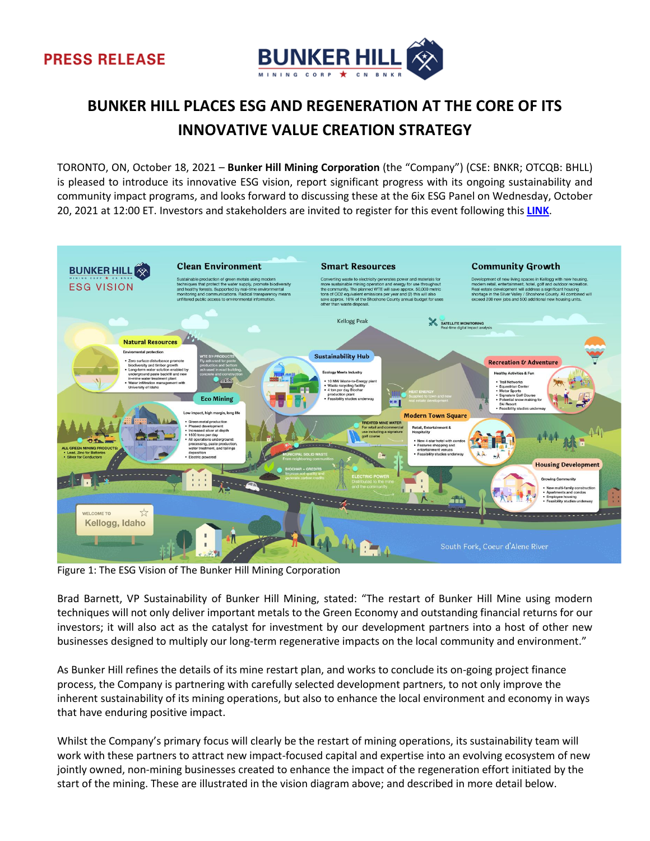



# **BUNKER HILL PLACES ESG AND REGENERATION AT THE CORE OF ITS INNOVATIVE VALUE CREATION STRATEGY**

TORONTO, ON, October 18, 2021 – **Bunker Hill Mining Corporation** (the "Company") (CSE: BNKR; OTCQB: BHLL) is pleased to introduce its innovative ESG vision, report significant progress with its ongoing sustainability and community impact programs, and looks forward to discussing these at the 6ix ESG Panel on Wednesday, October 20, 2021 at 12:00 ET. Investors and stakeholders are invited to register for this event following this **[LINK](https://my.6ix.com/eC49zchN)**.



Figure 1: The ESG Vision of The Bunker Hill Mining Corporation

Brad Barnett, VP Sustainability of Bunker Hill Mining, stated: "The restart of Bunker Hill Mine using modern techniques will not only deliver important metals to the Green Economy and outstanding financial returns for our investors; it will also act as the catalyst for investment by our development partners into a host of other new businesses designed to multiply our long-term regenerative impacts on the local community and environment."

As Bunker Hill refines the details of its mine restart plan, and works to conclude its on-going project finance process, the Company is partnering with carefully selected development partners, to not only improve the inherent sustainability of its mining operations, but also to enhance the local environment and economy in ways that have enduring positive impact.

Whilst the Company's primary focus will clearly be the restart of mining operations, its sustainability team will work with these partners to attract new impact-focused capital and expertise into an evolving ecosystem of new jointly owned, non-mining businesses created to enhance the impact of the regeneration effort initiated by the start of the mining. These are illustrated in the vision diagram above; and described in more detail below.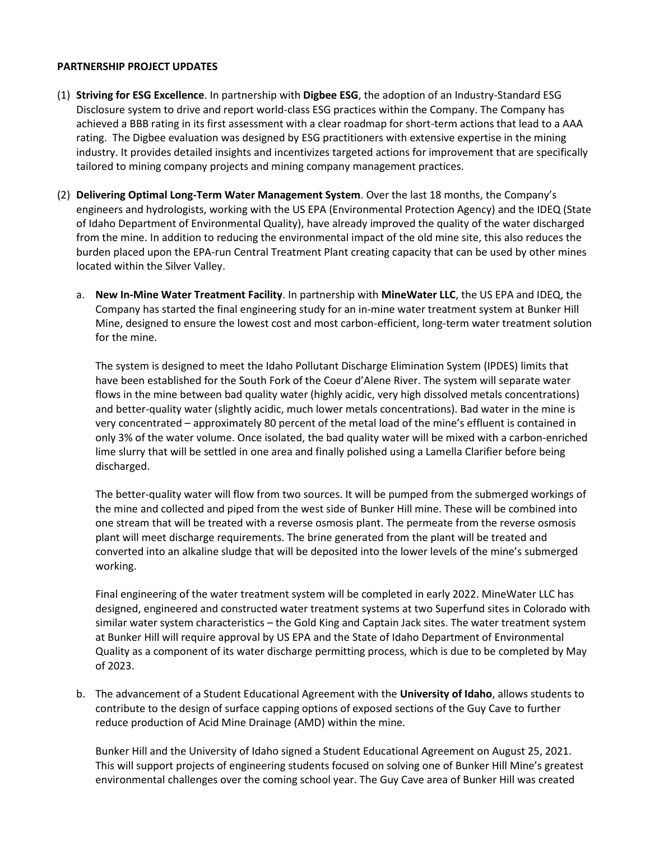# **PARTNERSHIP PROJECT UPDATES**

- (1) **Striving for ESG Excellence**. In partnership with **Digbee ESG**, the adoption of an Industry-Standard ESG Disclosure system to drive and report world-class ESG practices within the Company. The Company has achieved a BBB rating in its first assessment with a clear roadmap for short-term actions that lead to a AAA rating. The Digbee evaluation was designed by ESG practitioners with extensive expertise in the mining industry. It provides detailed insights and incentivizes targeted actions for improvement that are specifically tailored to mining company projects and mining company management practices.
- (2) **Delivering Optimal Long-Term Water Management System**. Over the last 18 months, the Company's engineers and hydrologists, working with the US EPA (Environmental Protection Agency) and the IDEQ (State of Idaho Department of Environmental Quality), have already improved the quality of the water discharged from the mine. In addition to reducing the environmental impact of the old mine site, this also reduces the burden placed upon the EPA-run Central Treatment Plant creating capacity that can be used by other mines located within the Silver Valley.
	- a. **New In-Mine Water Treatment Facility**. In partnership with **MineWater LLC**, the US EPA and IDEQ, the Company has started the final engineering study for an in-mine water treatment system at Bunker Hill Mine, designed to ensure the lowest cost and most carbon-efficient, long-term water treatment solution for the mine.

The system is designed to meet the Idaho Pollutant Discharge Elimination System (IPDES) limits that have been established for the South Fork of the Coeur d'Alene River. The system will separate water flows in the mine between bad quality water (highly acidic, very high dissolved metals concentrations) and better-quality water (slightly acidic, much lower metals concentrations). Bad water in the mine is very concentrated – approximately 80 percent of the metal load of the mine's effluent is contained in only 3% of the water volume. Once isolated, the bad quality water will be mixed with a carbon-enriched lime slurry that will be settled in one area and finally polished using a Lamella Clarifier before being discharged.

The better-quality water will flow from two sources. It will be pumped from the submerged workings of the mine and collected and piped from the west side of Bunker Hill mine. These will be combined into one stream that will be treated with a reverse osmosis plant. The permeate from the reverse osmosis plant will meet discharge requirements. The brine generated from the plant will be treated and converted into an alkaline sludge that will be deposited into the lower levels of the mine's submerged working.

Final engineering of the water treatment system will be completed in early 2022. MineWater LLC has designed, engineered and constructed water treatment systems at two Superfund sites in Colorado with similar water system characteristics – the Gold King and Captain Jack sites. The water treatment system at Bunker Hill will require approval by US EPA and the State of Idaho Department of Environmental Quality as a component of its water discharge permitting process, which is due to be completed by May of 2023.

b. The advancement of a Student Educational Agreement with the **University of Idaho**, allows students to contribute to the design of surface capping options of exposed sections of the Guy Cave to further reduce production of Acid Mine Drainage (AMD) within the mine.

Bunker Hill and the University of Idaho signed a Student Educational Agreement on August 25, 2021. This will support projects of engineering students focused on solving one of Bunker Hill Mine's greatest environmental challenges over the coming school year. The Guy Cave area of Bunker Hill was created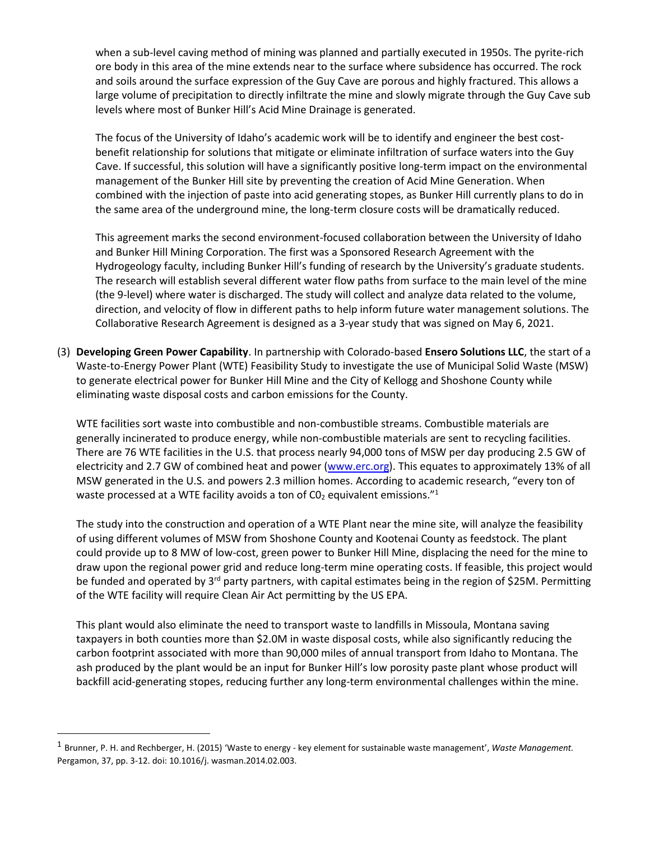when a sub-level caving method of mining was planned and partially executed in 1950s. The pyrite-rich ore body in this area of the mine extends near to the surface where subsidence has occurred. The rock and soils around the surface expression of the Guy Cave are porous and highly fractured. This allows a large volume of precipitation to directly infiltrate the mine and slowly migrate through the Guy Cave sub levels where most of Bunker Hill's Acid Mine Drainage is generated.

The focus of the University of Idaho's academic work will be to identify and engineer the best costbenefit relationship for solutions that mitigate or eliminate infiltration of surface waters into the Guy Cave. If successful, this solution will have a significantly positive long-term impact on the environmental management of the Bunker Hill site by preventing the creation of Acid Mine Generation. When combined with the injection of paste into acid generating stopes, as Bunker Hill currently plans to do in the same area of the underground mine, the long-term closure costs will be dramatically reduced.

This agreement marks the second environment-focused collaboration between the University of Idaho and Bunker Hill Mining Corporation. The first was a Sponsored Research Agreement with the Hydrogeology faculty, including Bunker Hill's funding of research by the University's graduate students. The research will establish several different water flow paths from surface to the main level of the mine (the 9-level) where water is discharged. The study will collect and analyze data related to the volume, direction, and velocity of flow in different paths to help inform future water management solutions. The Collaborative Research Agreement is designed as a 3-year study that was signed on May 6, 2021.

(3) **Developing Green Power Capability**. In partnership with Colorado-based **Ensero Solutions LLC**, the start of a Waste-to-Energy Power Plant (WTE) Feasibility Study to investigate the use of Municipal Solid Waste (MSW) to generate electrical power for Bunker Hill Mine and the City of Kellogg and Shoshone County while eliminating waste disposal costs and carbon emissions for the County.

WTE facilities sort waste into combustible and non-combustible streams. Combustible materials are generally incinerated to produce energy, while non-combustible materials are sent to recycling facilities. There are 76 WTE facilities in the U.S. that process nearly 94,000 tons of MSW per day producing 2.5 GW of electricity and 2.7 GW of combined heat and power [\(www.erc.org\)](http://www.erc.org/). This equates to approximately 13% of all MSW generated in the U.S. and powers 2.3 million homes. According to academic research, "every ton of waste processed at a WTE facility avoids a ton of  $CO<sub>2</sub>$  equivalent emissions."<sup>1</sup>

The study into the construction and operation of a WTE Plant near the mine site, will analyze the feasibility of using different volumes of MSW from Shoshone County and Kootenai County as feedstock. The plant could provide up to 8 MW of low-cost, green power to Bunker Hill Mine, displacing the need for the mine to draw upon the regional power grid and reduce long-term mine operating costs. If feasible, this project would be funded and operated by 3<sup>rd</sup> party partners, with capital estimates being in the region of \$25M. Permitting of the WTE facility will require Clean Air Act permitting by the US EPA.

This plant would also eliminate the need to transport waste to landfills in Missoula, Montana saving taxpayers in both counties more than \$2.0M in waste disposal costs, while also significantly reducing the carbon footprint associated with more than 90,000 miles of annual transport from Idaho to Montana. The ash produced by the plant would be an input for Bunker Hill's low porosity paste plant whose product will backfill acid-generating stopes, reducing further any long-term environmental challenges within the mine.

<sup>1</sup> Brunner, P. H. and Rechberger, H. (2015) 'Waste to energy - key element for sustainable waste management', *Waste Management.*  Pergamon, 37, pp. 3-12. doi: 10.1016/j. wasman.2014.02.003.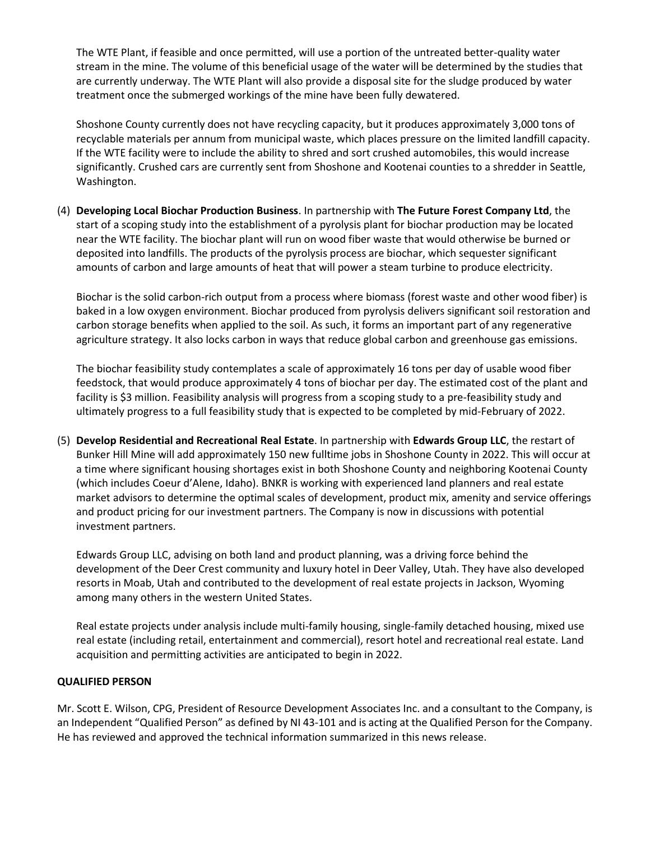The WTE Plant, if feasible and once permitted, will use a portion of the untreated better-quality water stream in the mine. The volume of this beneficial usage of the water will be determined by the studies that are currently underway. The WTE Plant will also provide a disposal site for the sludge produced by water treatment once the submerged workings of the mine have been fully dewatered.

Shoshone County currently does not have recycling capacity, but it produces approximately 3,000 tons of recyclable materials per annum from municipal waste, which places pressure on the limited landfill capacity. If the WTE facility were to include the ability to shred and sort crushed automobiles, this would increase significantly. Crushed cars are currently sent from Shoshone and Kootenai counties to a shredder in Seattle, Washington.

(4) **Developing Local Biochar Production Business**. In partnership with **The Future Forest Company Ltd**, the start of a scoping study into the establishment of a pyrolysis plant for biochar production may be located near the WTE facility. The biochar plant will run on wood fiber waste that would otherwise be burned or deposited into landfills. The products of the pyrolysis process are biochar, which sequester significant amounts of carbon and large amounts of heat that will power a steam turbine to produce electricity.

Biochar is the solid carbon-rich output from a process where biomass (forest waste and other wood fiber) is baked in a low oxygen environment. Biochar produced from pyrolysis delivers significant soil restoration and carbon storage benefits when applied to the soil. As such, it forms an important part of any regenerative agriculture strategy. It also locks carbon in ways that reduce global carbon and greenhouse gas emissions.

The biochar feasibility study contemplates a scale of approximately 16 tons per day of usable wood fiber feedstock, that would produce approximately 4 tons of biochar per day. The estimated cost of the plant and facility is \$3 million. Feasibility analysis will progress from a scoping study to a pre-feasibility study and ultimately progress to a full feasibility study that is expected to be completed by mid-February of 2022.

(5) **Develop Residential and Recreational Real Estate**. In partnership with **Edwards Group LLC**, the restart of Bunker Hill Mine will add approximately 150 new fulltime jobs in Shoshone County in 2022. This will occur at a time where significant housing shortages exist in both Shoshone County and neighboring Kootenai County (which includes Coeur d'Alene, Idaho). BNKR is working with experienced land planners and real estate market advisors to determine the optimal scales of development, product mix, amenity and service offerings and product pricing for our investment partners. The Company is now in discussions with potential investment partners.

Edwards Group LLC, advising on both land and product planning, was a driving force behind the development of the Deer Crest community and luxury hotel in Deer Valley, Utah. They have also developed resorts in Moab, Utah and contributed to the development of real estate projects in Jackson, Wyoming among many others in the western United States.

Real estate projects under analysis include multi-family housing, single-family detached housing, mixed use real estate (including retail, entertainment and commercial), resort hotel and recreational real estate. Land acquisition and permitting activities are anticipated to begin in 2022.

# **QUALIFIED PERSON**

Mr. Scott E. Wilson, CPG, President of Resource Development Associates Inc. and a consultant to the Company, is an Independent "Qualified Person" as defined by NI 43-101 and is acting at the Qualified Person for the Company. He has reviewed and approved the technical information summarized in this news release.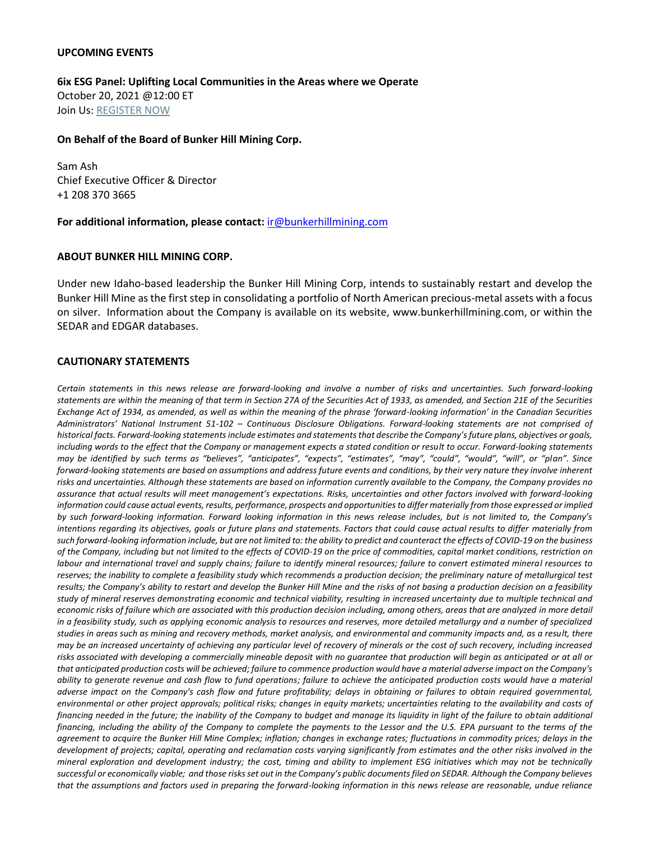### **UPCOMING EVENTS**

**6ix ESG Panel: Uplifting Local Communities in the Areas where we Operate** October 20, 2021 @12:00 ET Join Us: [REGISTER NOW](https://6ix.com/event/csr-esg-panel/?utm_bmcr_source=6ix_email&utm_source=6ix_email)

## **On Behalf of the Board of Bunker Hill Mining Corp.**

Sam Ash Chief Executive Officer & Director +1 208 370 3665

### **For additional information, please contact:** [ir@bunkerhillmining.com](mailto:ir@bunkerhillmining.com)

#### **ABOUT BUNKER HILL MINING CORP.**

Under new Idaho-based leadership the Bunker Hill Mining Corp, intends to sustainably restart and develop the Bunker Hill Mine as the first step in consolidating a portfolio of North American precious-metal assets with a focus on silver. Information about the Company is available on its website, www.bunkerhillmining.com, or within the SEDAR and EDGAR databases.

## **CAUTIONARY STATEMENTS**

*Certain statements in this news release are forward-looking and involve a number of risks and uncertainties. Such forward-looking statements are within the meaning of that term in Section 27A of the Securities Act of 1933, as amended, and Section 21E of the Securities Exchange Act of 1934, as amended, as well as within the meaning of the phrase 'forward-looking information' in the Canadian Securities Administrators' National Instrument 51-102 – Continuous Disclosure Obligations. Forward-looking statements are not comprised of historical facts. Forward-looking statements include estimates and statements that describe the Company's future plans, objectives or goals, including words to the effect that the Company or management expects a stated condition or result to occur. Forward-looking statements may be identified by such terms as "believes", "anticipates", "expects", "estimates", "may", "could", "would", "will", or "plan". Since forward-looking statements are based on assumptions and address future events and conditions, by their very nature they involve inherent risks and uncertainties. Although these statements are based on information currently available to the Company, the Company provides no assurance that actual results will meet management's expectations. Risks, uncertainties and other factors involved with forward-looking information could cause actual events, results, performance, prospects and opportunities to differ materially from those expressed or implied by such forward-looking information. Forward looking information in this news release includes, but is not limited to, the Company's intentions regarding its objectives, goals or future plans and statements. Factors that could cause actual results to differ materially from such forward-looking information include, but are not limited to: the ability to predict and counteract the effects of COVID-19 on the business of the Company, including but not limited to the effects of COVID-19 on the price of commodities, capital market conditions, restriction on labour and international travel and supply chains; failure to identify mineral resources; failure to convert estimated mineral resources to*  reserves; the inability to complete a feasibility study which recommends a production decision; the preliminary nature of metallurgical test results; the Company's ability to restart and develop the Bunker Hill Mine and the risks of not basing a production decision on a feasibility *study of mineral reserves demonstrating economic and technical viability, resulting in increased uncertainty due to multiple technical and economic risks of failure which are associated with this production decision including, among others, areas that are analyzed in more detail in a feasibility study, such as applying economic analysis to resources and reserves, more detailed metallurgy and a number of specialized studies in areas such as mining and recovery methods, market analysis, and environmental and community impacts and, as a result, there may be an increased uncertainty of achieving any particular level of recovery of minerals or the cost of such recovery, including increased risks associated with developing a commercially mineable deposit with no guarantee that production will begin as anticipated or at all or that anticipated production costs will be achieved; failure to commence production would have a material adverse impact on the Company's ability to generate revenue and cash flow to fund operations; failure to achieve the anticipated production costs would have a material adverse impact on the Company's cash flow and future profitability; delays in obtaining or failures to obtain required governmental, environmental or other project approvals; political risks; changes in equity markets; uncertainties relating to the availability and costs of financing needed in the future; the inability of the Company to budget and manage its liquidity in light of the failure to obtain additional financing, including the ability of the Company to complete the payments to the Lessor and the U.S. EPA pursuant to the terms of the agreement to acquire the Bunker Hill Mine Complex; inflation; changes in exchange rates; fluctuations in commodity prices; delays in the development of projects; capital, operating and reclamation costs varying significantly from estimates and the other risks involved in the mineral exploration and development industry; the cost, timing and ability to implement ESG initiatives which may not be technically successful or economically viable; and those risks set out in the Company's public documents filed on SEDAR. Although the Company believes that the assumptions and factors used in preparing the forward-looking information in this news release are reasonable, undue reliance*